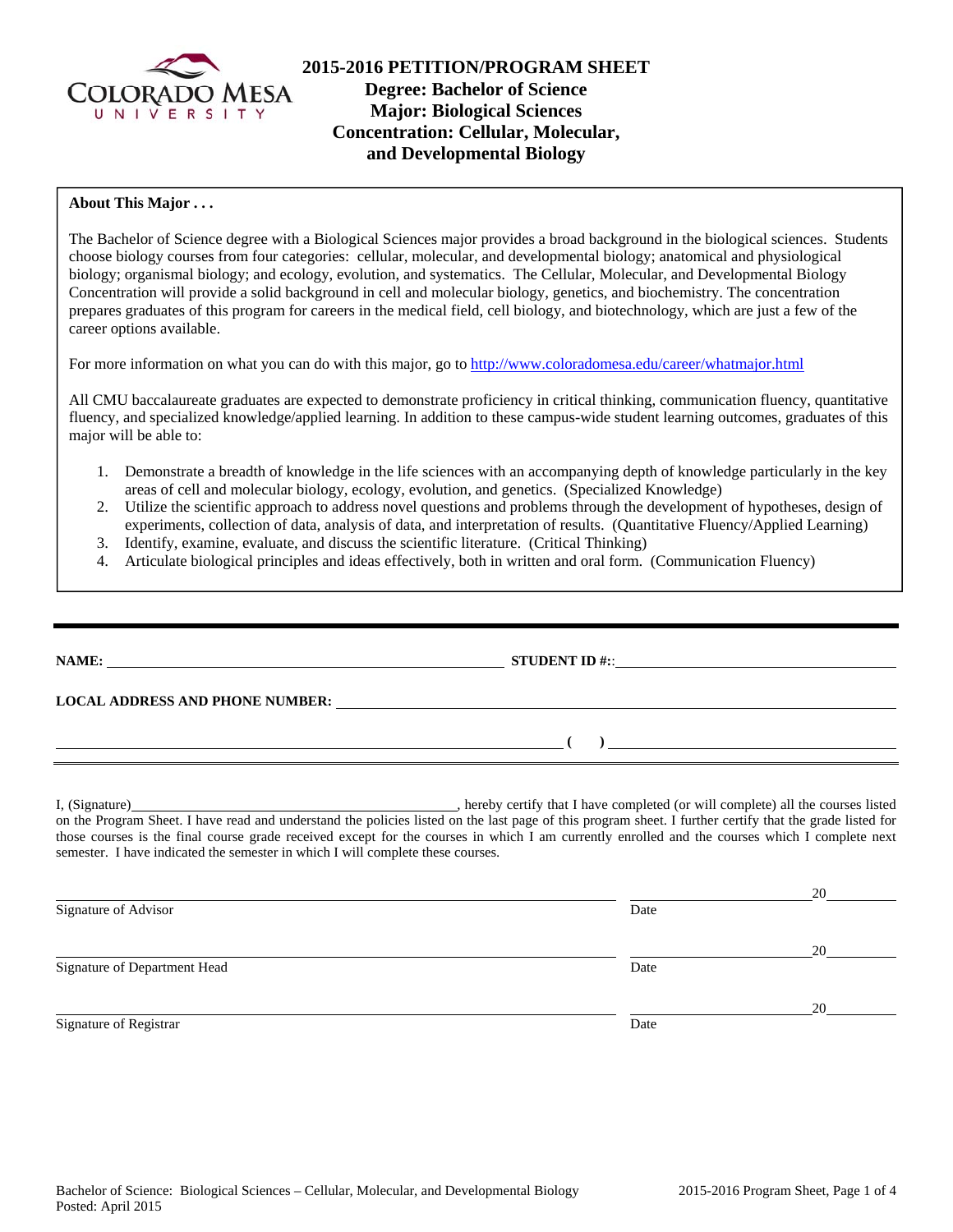

# **2015-2016 PETITION/PROGRAM SHEET Degree: Bachelor of Science Major: Biological Sciences Concentration: Cellular, Molecular, and Developmental Biology**

## **About This Major . . .**

The Bachelor of Science degree with a Biological Sciences major provides a broad background in the biological sciences. Students choose biology courses from four categories: cellular, molecular, and developmental biology; anatomical and physiological biology; organismal biology; and ecology, evolution, and systematics. The Cellular, Molecular, and Developmental Biology Concentration will provide a solid background in cell and molecular biology, genetics, and biochemistry. The concentration prepares graduates of this program for careers in the medical field, cell biology, and biotechnology, which are just a few of the career options available.

For more information on what you can do with this major, go to http://www.coloradomesa.edu/career/whatmajor.html

All CMU baccalaureate graduates are expected to demonstrate proficiency in critical thinking, communication fluency, quantitative fluency, and specialized knowledge/applied learning. In addition to these campus-wide student learning outcomes, graduates of this major will be able to:

- 1. Demonstrate a breadth of knowledge in the life sciences with an accompanying depth of knowledge particularly in the key areas of cell and molecular biology, ecology, evolution, and genetics. (Specialized Knowledge)
- 2. Utilize the scientific approach to address novel questions and problems through the development of hypotheses, design of experiments, collection of data, analysis of data, and interpretation of results. (Quantitative Fluency/Applied Learning)
- 3. Identify, examine, evaluate, and discuss the scientific literature. (Critical Thinking)
- 4. Articulate biological principles and ideas effectively, both in written and oral form. (Communication Fluency)

|                                                                                 | LOCAL ADDRESS AND PHONE NUMBER: Under the contract of the contract of the contract of the contract of the contract of the contract of the contract of the contract of the contract of the contract of the contract of the cont                                                                             |  |
|---------------------------------------------------------------------------------|------------------------------------------------------------------------------------------------------------------------------------------------------------------------------------------------------------------------------------------------------------------------------------------------------------|--|
|                                                                                 | $\overline{a}$ (b) and the set of $\overline{a}$ (c) and the set of $\overline{a}$ (c) and the set of $\overline{a}$                                                                                                                                                                                       |  |
| semester. I have indicated the semester in which I will complete these courses. | on the Program Sheet. I have read and understand the policies listed on the last page of this program sheet. I further certify that the grade listed for<br>those courses is the final course grade received except for the courses in which I am currently enrolled and the courses which I complete next |  |
| Signature of Advisor                                                            | Date                                                                                                                                                                                                                                                                                                       |  |
|                                                                                 | 20                                                                                                                                                                                                                                                                                                         |  |

Signature of Registrar Date and Separature of Registrar Date

<u>20</u>

Signature of Department Head Date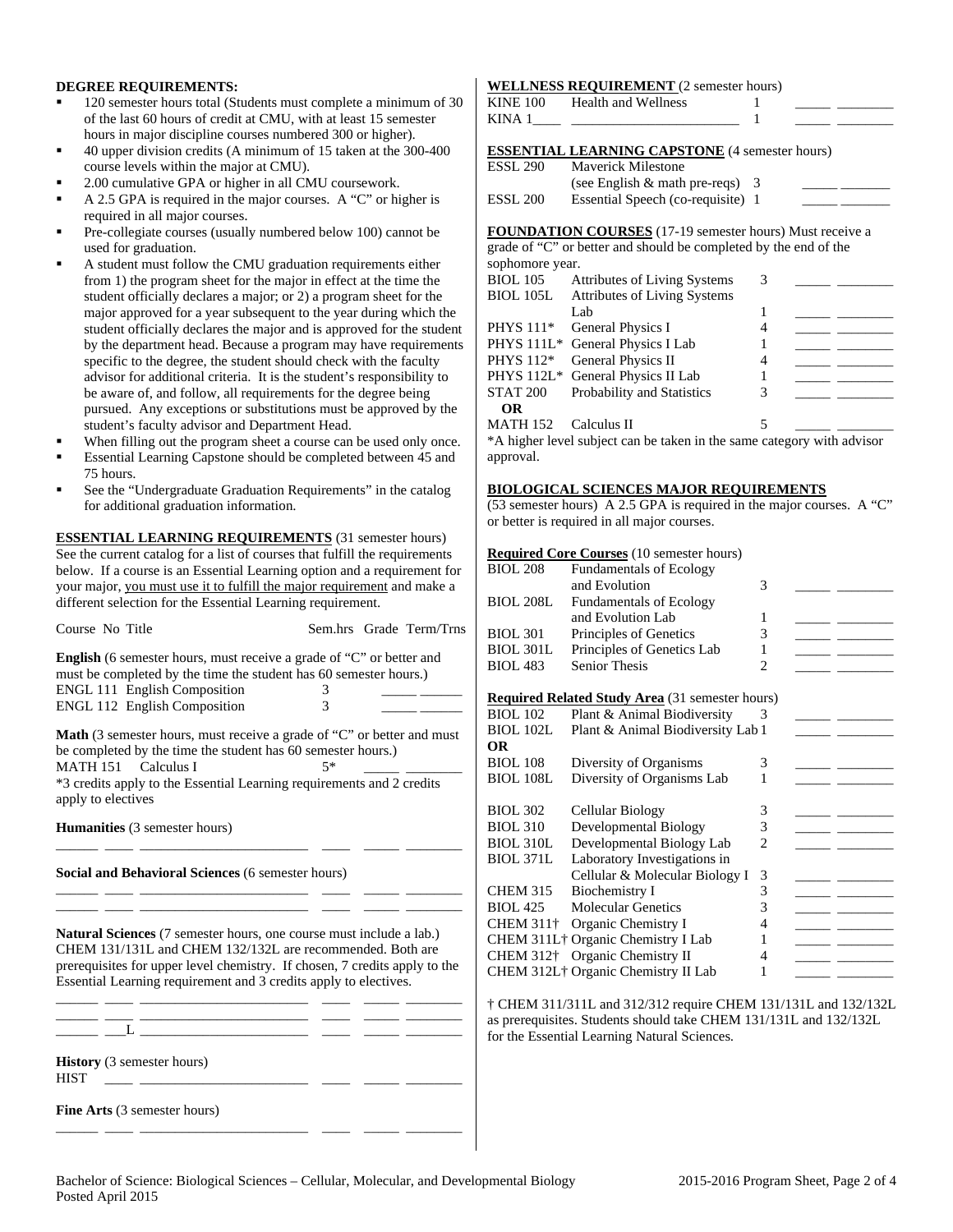## **DEGREE REQUIREMENTS:**

- 120 semester hours total (Students must complete a minimum of 30 of the last 60 hours of credit at CMU, with at least 15 semester hours in major discipline courses numbered 300 or higher).
- 40 upper division credits (A minimum of 15 taken at the 300-400 course levels within the major at CMU).
- 2.00 cumulative GPA or higher in all CMU coursework.
- A 2.5 GPA is required in the major courses. A "C" or higher is required in all major courses.
- Pre-collegiate courses (usually numbered below 100) cannot be used for graduation.
- A student must follow the CMU graduation requirements either from 1) the program sheet for the major in effect at the time the student officially declares a major; or 2) a program sheet for the major approved for a year subsequent to the year during which the student officially declares the major and is approved for the student by the department head. Because a program may have requirements specific to the degree, the student should check with the faculty advisor for additional criteria. It is the student's responsibility to be aware of, and follow, all requirements for the degree being pursued. Any exceptions or substitutions must be approved by the student's faculty advisor and Department Head.
- When filling out the program sheet a course can be used only once.
- Essential Learning Capstone should be completed between 45 and 75 hours.
- See the "Undergraduate Graduation Requirements" in the catalog for additional graduation information.

**ESSENTIAL LEARNING REQUIREMENTS** (31 semester hours) See the current catalog for a list of courses that fulfill the requirements below. If a course is an Essential Learning option and a requirement for your major, you must use it to fulfill the major requirement and make a different selection for the Essential Learning requirement.

| Course No Title                                                                                                                                                                                                                                                                                                                                                                                                     |        | Sem.hrs Grade Term/Trns |
|---------------------------------------------------------------------------------------------------------------------------------------------------------------------------------------------------------------------------------------------------------------------------------------------------------------------------------------------------------------------------------------------------------------------|--------|-------------------------|
| <b>English</b> (6 semester hours, must receive a grade of "C" or better and<br>must be completed by the time the student has 60 semester hours.)<br>ENGL 111 English Composition<br>ENGL 112 English Composition                                                                                                                                                                                                    | 3<br>3 |                         |
| <b>Math</b> (3 semester hours, must receive a grade of "C" or better and must<br>be completed by the time the student has 60 semester hours.)<br>MATH 151 Calculus I<br>*3 credits apply to the Essential Learning requirements and 2 credits<br>apply to electives                                                                                                                                                 | $5*$   |                         |
| <b>Humanities</b> (3 semester hours)                                                                                                                                                                                                                                                                                                                                                                                |        |                         |
| Social and Behavioral Sciences (6 semester hours)                                                                                                                                                                                                                                                                                                                                                                   |        |                         |
| <b>Natural Sciences</b> (7 semester hours, one course must include a lab.)<br>CHEM 131/131L and CHEM 132/132L are recommended. Both are<br>prerequisites for upper level chemistry. If chosen, 7 credits apply to the<br>Essential Learning requirement and 3 credits apply to electives.<br><u> La componenta de la componenta de la componenta de la componenta de la componenta de la componenta de la compo</u> |        |                         |
|                                                                                                                                                                                                                                                                                                                                                                                                                     |        |                         |
| <b>History</b> (3 semester hours)<br><b>HIST</b><br><u> 1999 - Johann Stein, mars an deus Fran</u>                                                                                                                                                                                                                                                                                                                  |        |                         |
| Fine Arts (3 semester hours)                                                                                                                                                                                                                                                                                                                                                                                        |        |                         |

\_\_\_\_\_\_ \_\_\_\_ \_\_\_\_\_\_\_\_\_\_\_\_\_\_\_\_\_\_\_\_\_\_\_\_ \_\_\_\_ \_\_\_\_\_ \_\_\_\_\_\_\_\_

## **WELLNESS REQUIREMENT** (2 semester hours)

| KINE 100 | Health and Wellness                                   |  |
|----------|-------------------------------------------------------|--|
| KINA 1   |                                                       |  |
|          |                                                       |  |
|          | <b>ESSENTIAL LEARNING CAPSTONE</b> (4 semester hours) |  |
|          | <b>ESSL 290</b> Maverick Milestone                    |  |

| ________ |                                   |  |
|----------|-----------------------------------|--|
|          | (see English $&$ math pre-reqs) 3 |  |
| ESSL 200 | Essential Speech (co-requisite) 1 |  |

**FOUNDATION COURSES** (17-19 semester hours) Must receive a grade of "C" or better and should be completed by the end of the

| sophomore year. |                                                                         |   |  |
|-----------------|-------------------------------------------------------------------------|---|--|
| <b>BIOL 105</b> | <b>Attributes of Living Systems</b>                                     | 3 |  |
|                 | BIOL 105L Attributes of Living Systems                                  |   |  |
|                 | Lab                                                                     |   |  |
| PHYS 111*       | General Physics I                                                       | 4 |  |
|                 | PHYS 111L* General Physics I Lab                                        |   |  |
| PHYS 112*       | General Physics II                                                      | 4 |  |
|                 | PHYS 112L* General Physics II Lab                                       |   |  |
| STAT 200        | Probability and Statistics                                              | 3 |  |
| <b>OR</b>       |                                                                         |   |  |
| <b>MATH 152</b> | Calculus II                                                             | 5 |  |
|                 | $*$ higher level subject can be taken in the same category with advisor |   |  |

A nigner level subject can be taken in the same category with advisor approval.

### **BIOLOGICAL SCIENCES MAJOR REQUIREMENTS**

(53 semester hours) A 2.5 GPA is required in the major courses. A "C" or better is required in all major courses.

#### **Required Core Courses** (10 semester hours)

| <b>BIOL 208</b>  | <b>Fundamentals of Ecology</b>                         |                |  |
|------------------|--------------------------------------------------------|----------------|--|
|                  | and Evolution                                          | 3              |  |
| <b>BIOL 208L</b> | <b>Fundamentals of Ecology</b>                         |                |  |
|                  | and Evolution Lab                                      | 1              |  |
| <b>BIOL 301</b>  | Principles of Genetics                                 | 3              |  |
| <b>BIOL 301L</b> | Principles of Genetics Lab                             | 1              |  |
| <b>BIOL 483</b>  | <b>Senior Thesis</b>                                   | $\overline{c}$ |  |
|                  |                                                        |                |  |
|                  | <b>Required Related Study Area</b> (31 semester hours) |                |  |
| <b>BIOL 102</b>  | Plant & Animal Biodiversity                            | 3              |  |
| <b>BIOL 102L</b> | Plant & Animal Biodiversity Lab 1                      |                |  |
| <b>OR</b>        |                                                        |                |  |
| <b>BIOL 108</b>  | Diversity of Organisms                                 | 3              |  |
| <b>BIOL 108L</b> | Diversity of Organisms Lab                             | 1              |  |
|                  |                                                        |                |  |
| <b>BIOL 302</b>  | Cellular Biology                                       | 3              |  |
| <b>BIOL 310</b>  | Developmental Biology                                  | 3              |  |
| <b>BIOL 310L</b> | Developmental Biology Lab                              | $\overline{c}$ |  |
| <b>BIOL 371L</b> | Laboratory Investigations in                           |                |  |
|                  | Cellular & Molecular Biology I                         | 3              |  |
| <b>CHEM 315</b>  | Biochemistry I                                         | 3              |  |
| <b>BIOL 425</b>  | <b>Molecular Genetics</b>                              | 3              |  |
| <b>CHEM 311+</b> | Organic Chemistry I                                    | 4              |  |
|                  | CHEM 311L <sup>+</sup> Organic Chemistry I Lab         | 1              |  |
|                  | CHEM 312 <sup>†</sup> Organic Chemistry II             | 4              |  |
|                  | CHEM 312L <sup>†</sup> Organic Chemistry II Lab        | 1              |  |

† CHEM 311/311L and 312/312 require CHEM 131/131L and 132/132L as prerequisites. Students should take CHEM 131/131L and 132/132L for the Essential Learning Natural Sciences.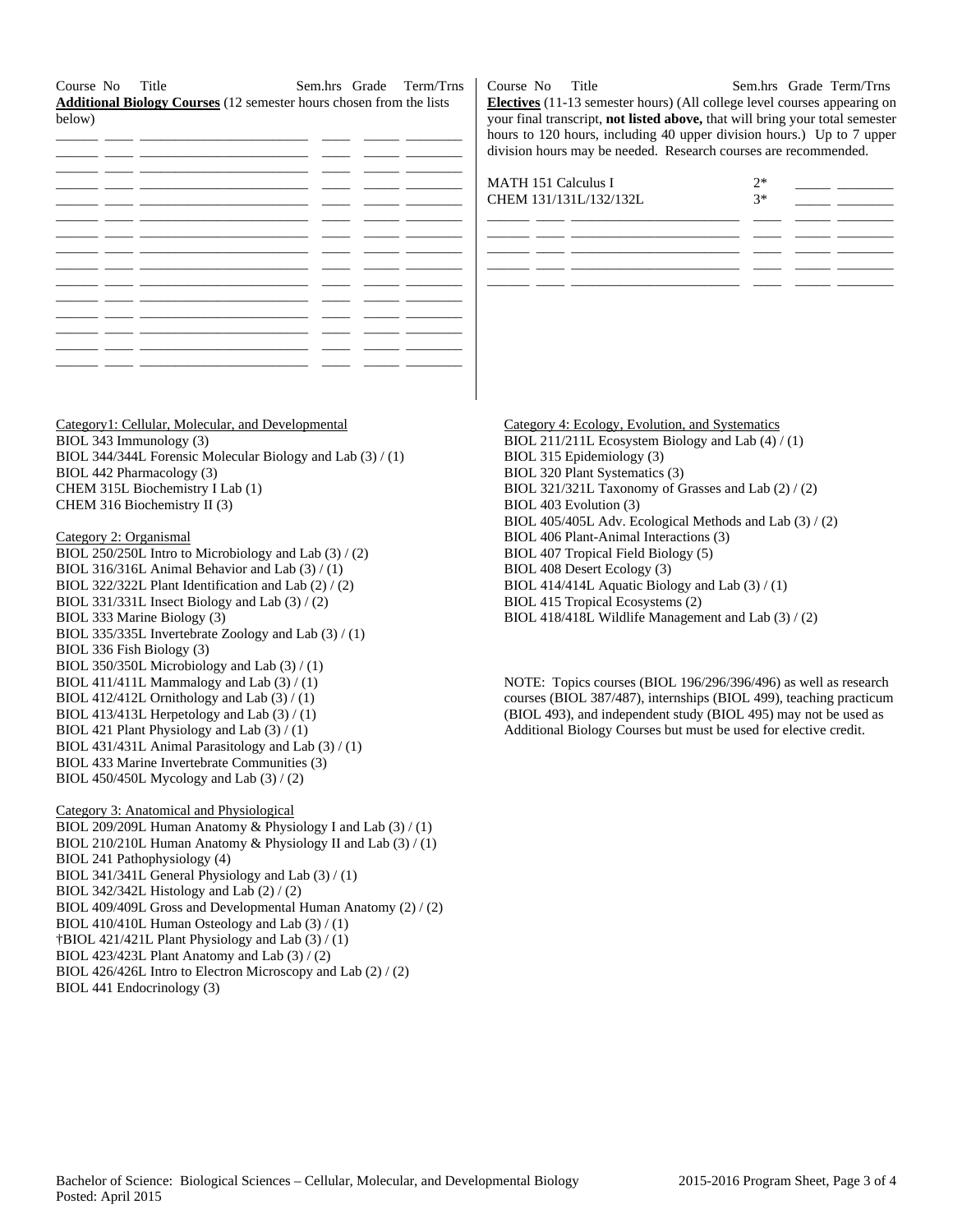Course No Title Sem.hrs Grade Term/Trns **Additional Biology Courses** (12 semester hours chosen from the lists below)

Course No Title Sem.hrs Grade Term/Trns **Electives** (11-13 semester hours) (All college level courses appearing on your final transcript, **not listed above,** that will bring your total semester hours to 120 hours, including 40 upper division hours.) Up to 7 upper division hours may be needed. Research courses are recommended.

| <b>MATH 151 Calculus I</b><br>CHEM 131/131L/132/132L | $2*$<br>$3*$ |  |
|------------------------------------------------------|--------------|--|
|                                                      |              |  |
|                                                      |              |  |
|                                                      |              |  |

Category 4: Ecology, Evolution, and Systematics BIOL 211/211L Ecosystem Biology and Lab (4) / (1) BIOL 315 Epidemiology (3) BIOL 320 Plant Systematics (3) BIOL 321/321L Taxonomy of Grasses and Lab (2) / (2) BIOL 403 Evolution (3) BIOL 405/405L Adv. Ecological Methods and Lab (3) / (2) BIOL 406 Plant-Animal Interactions (3) BIOL 407 Tropical Field Biology (5) BIOL 408 Desert Ecology (3) BIOL 414/414L Aquatic Biology and Lab  $(3) / (1)$ BIOL 415 Tropical Ecosystems (2) BIOL 418/418L Wildlife Management and Lab (3) / (2)

NOTE: Topics courses (BIOL 196/296/396/496) as well as research courses (BIOL 387/487), internships (BIOL 499), teaching practicum (BIOL 493), and independent study (BIOL 495) may not be used as Additional Biology Courses but must be used for elective credit.

BIOL 343 Immunology (3) BIOL 344/344L Forensic Molecular Biology and Lab (3) / (1) BIOL 442 Pharmacology (3) CHEM 315L Biochemistry I Lab (1) CHEM 316 Biochemistry II (3)

Category1: Cellular, Molecular, and Developmental

## Category 2: Organismal

BIOL 250/250L Intro to Microbiology and Lab (3) / (2) BIOL 316/316L Animal Behavior and Lab (3) / (1) BIOL 322/322L Plant Identification and Lab (2) / (2) BIOL 331/331L Insect Biology and Lab (3) / (2) BIOL 333 Marine Biology (3) BIOL 335/335L Invertebrate Zoology and Lab (3) / (1) BIOL 336 Fish Biology (3) BIOL 350/350L Microbiology and Lab (3) / (1) BIOL 411/411L Mammalogy and Lab (3) / (1) BIOL 412/412L Ornithology and Lab  $(3) / (1)$ BIOL 413/413L Herpetology and Lab (3) / (1) BIOL 421 Plant Physiology and Lab (3) / (1) BIOL 431/431L Animal Parasitology and Lab (3) / (1) BIOL 433 Marine Invertebrate Communities (3) BIOL 450/450L Mycology and Lab (3) / (2)

#### Category 3: Anatomical and Physiological

BIOL 209/209L Human Anatomy & Physiology I and Lab (3) / (1) BIOL 210/210L Human Anatomy & Physiology II and Lab (3) / (1) BIOL 241 Pathophysiology (4) BIOL 341/341L General Physiology and Lab (3) / (1) BIOL 342/342L Histology and Lab (2) / (2) BIOL 409/409L Gross and Developmental Human Anatomy (2) / (2) BIOL 410/410L Human Osteology and Lab (3) / (1) †BIOL 421/421L Plant Physiology and Lab (3) / (1) BIOL 423/423L Plant Anatomy and Lab (3) / (2) BIOL 426/426L Intro to Electron Microscopy and Lab (2) / (2) BIOL 441 Endocrinology (3)